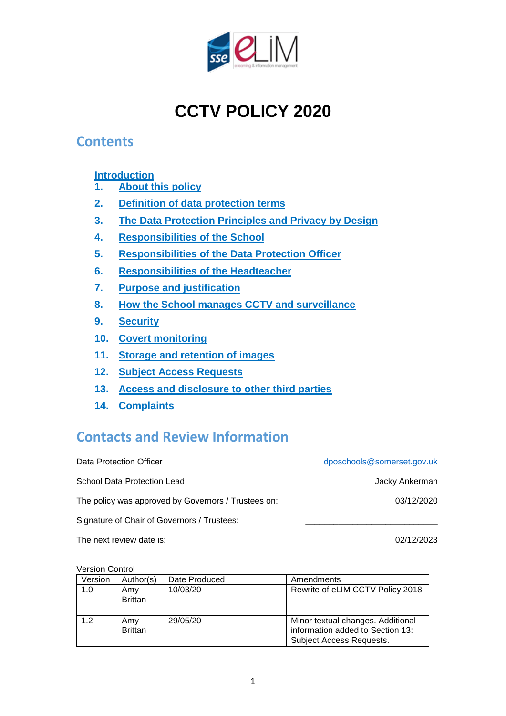

# **CCTV POLICY 2020**

#### **Contents**

**[Introduction](#page-0-0)**

- **1. [About this policy](#page-1-0)**
- **2. [Definition of data protection terms](#page-1-1)**
- **3. [The Data Protection Principles and Privacy by Design](#page-2-0)**
- **4. [Responsibilities of the School](#page-2-1)**
- **5. [Responsibilities of the Data Protection Officer](#page-3-0)**
- **6. [Responsibilities of the Headteacher](#page-3-1)**
- **7. [Purpose and justification](#page-4-0)**
- **8. How [the School manages CCTV and surveillance](#page-4-1)**
- **9. [Security](#page-5-0)**
- **10. [Covert monitoring](#page-5-1)**
- **11. [Storage and retention of images](#page-5-2)**
- **12. [Subject Access Requests](#page-6-0)**
- **13. [Access and disclosure to](#page-7-0) other third parties**
- **14. [Complaints](#page-7-1)**

## **Contacts and Review Information**

Data Protection Officer [dposchools@somerset.gov.uk](mailto:dposchools@somerset.gov.uk) School Data Protection Lead Jacky Ankerman The policy was approved by Governors / Trustees on: 03/12/2020 Signature of Chair of Governors / Trustees:

The next review date is:  $02/12/2023$ 

Version Control

<span id="page-0-0"></span>

| Version | Author(s)             | Date Produced | Amendments                                                                                        |
|---------|-----------------------|---------------|---------------------------------------------------------------------------------------------------|
| 1.0     | Amy<br><b>Brittan</b> | 10/03/20      | Rewrite of eLIM CCTV Policy 2018                                                                  |
| 1.2     | Amv<br><b>Brittan</b> | 29/05/20      | Minor textual changes. Additional<br>information added to Section 13:<br>Subject Access Requests. |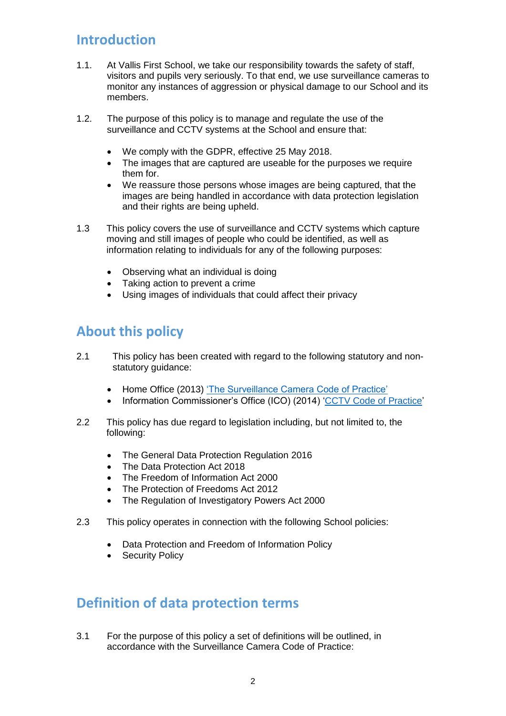## **Introduction**

- 1.1. At Vallis First School, we take our responsibility towards the safety of staff, visitors and pupils very seriously. To that end, we use surveillance cameras to monitor any instances of aggression or physical damage to our School and its members.
- 1.2. The purpose of this policy is to manage and regulate the use of the surveillance and CCTV systems at the School and ensure that:
	- We comply with the GDPR, effective 25 May 2018.
	- The images that are captured are useable for the purposes we require them for.
	- We reassure those persons whose images are being captured, that the images are being handled in accordance with data protection legislation and their rights are being upheld.
- 1.3 This policy covers the use of surveillance and CCTV systems which capture moving and still images of people who could be identified, as well as information relating to individuals for any of the following purposes:
	- Observing what an individual is doing
	- Taking action to prevent a crime
	- Using images of individuals that could affect their privacy

## <span id="page-1-0"></span>**About this policy**

- 2.1 This policy has been created with regard to the following statutory and nonstatutory guidance:
	- Home Office (2013) ['The Surveillance Camera Code of Practice'](https://www.gov.uk/government/publications/surveillance-camera-code-of-practice)
	- Information Commissioner's Office (ICO) (2014) ['CCTV Code of Practice'](https://ico.org.uk/media/1542/cctv-code-of-practice.pdf)
- 2.2 This policy has due regard to legislation including, but not limited to, the following:
	- The General Data Protection Regulation 2016
	- The Data Protection Act 2018
	- The Freedom of Information Act 2000
	- The Protection of Freedoms Act 2012
	- The Regulation of Investigatory Powers Act 2000
- 2.3 This policy operates in connection with the following School policies:
	- Data Protection and Freedom of Information Policy
	- Security Policy

#### <span id="page-1-1"></span>**Definition of data protection terms**

3.1 For the purpose of this policy a set of definitions will be outlined, in accordance with the Surveillance Camera Code of Practice: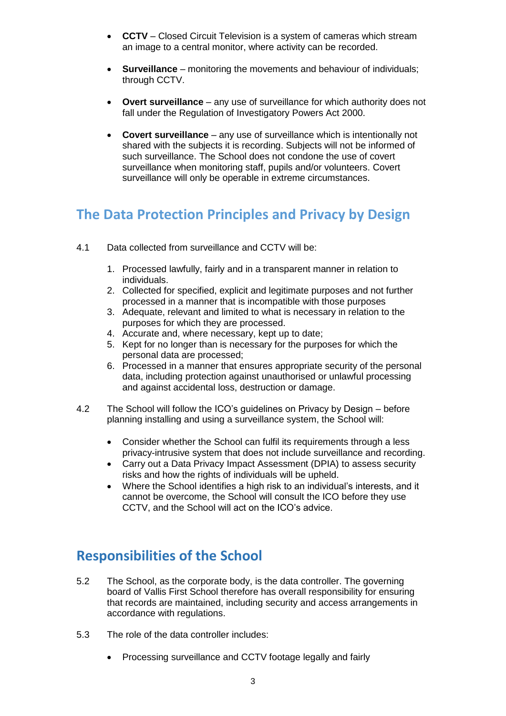- **CCTV** Closed Circuit Television is a system of cameras which stream an image to a central monitor, where activity can be recorded.
- **Surveillance** monitoring the movements and behaviour of individuals; through CCTV.
- **Overt surveillance** any use of surveillance for which authority does not fall under the Regulation of Investigatory Powers Act 2000.
- **Covert surveillance** any use of surveillance which is intentionally not shared with the subjects it is recording. Subjects will not be informed of such surveillance. The School does not condone the use of covert surveillance when monitoring staff, pupils and/or volunteers. Covert surveillance will only be operable in extreme circumstances.

## <span id="page-2-0"></span>**The Data Protection Principles and Privacy by Design**

- 4.1 Data collected from surveillance and CCTV will be:
	- 1. Processed lawfully, fairly and in a transparent manner in relation to individuals.
	- 2. Collected for specified, explicit and legitimate purposes and not further processed in a manner that is incompatible with those purposes
	- 3. Adequate, relevant and limited to what is necessary in relation to the purposes for which they are processed.
	- 4. Accurate and, where necessary, kept up to date;
	- 5. Kept for no longer than is necessary for the purposes for which the personal data are processed;
	- 6. Processed in a manner that ensures appropriate security of the personal data, including protection against unauthorised or unlawful processing and against accidental loss, destruction or damage.
- 4.2 The School will follow the ICO's guidelines on Privacy by Design before planning installing and using a surveillance system, the School will:
	- Consider whether the School can fulfil its requirements through a less privacy-intrusive system that does not include surveillance and recording.
	- Carry out a Data Privacy Impact Assessment (DPIA) to assess security risks and how the rights of individuals will be upheld.
	- Where the School identifies a high risk to an individual's interests, and it cannot be overcome, the School will consult the ICO before they use CCTV, and the School will act on the ICO's advice.

## <span id="page-2-1"></span>**Responsibilities of the School**

- 5.2 The School, as the corporate body, is the data controller. The governing board of Vallis First School therefore has overall responsibility for ensuring that records are maintained, including security and access arrangements in accordance with regulations.
- 5.3 The role of the data controller includes:
	- Processing surveillance and CCTV footage legally and fairly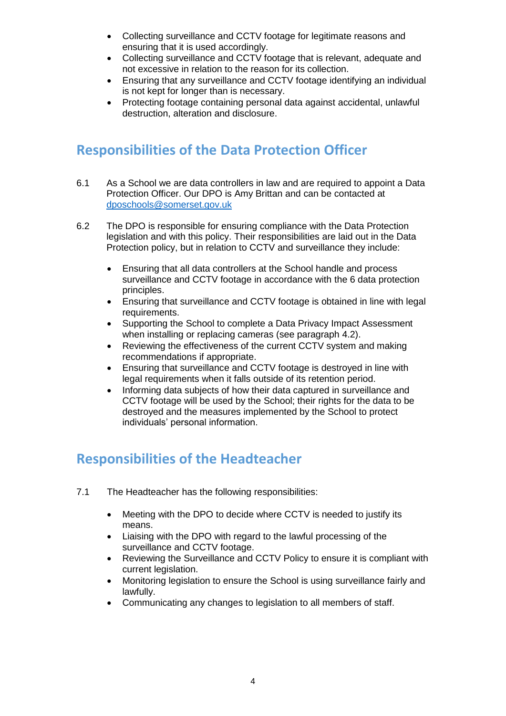- Collecting surveillance and CCTV footage for legitimate reasons and ensuring that it is used accordingly.
- Collecting surveillance and CCTV footage that is relevant, adequate and not excessive in relation to the reason for its collection.
- Ensuring that any surveillance and CCTV footage identifying an individual is not kept for longer than is necessary.
- Protecting footage containing personal data against accidental, unlawful destruction, alteration and disclosure.

# <span id="page-3-0"></span>**Responsibilities of the Data Protection Officer**

- 6.1 As a School we are data controllers in law and are required to appoint a Data Protection Officer. Our DPO is Amy Brittan and can be contacted at [dposchools@somerset.gov.uk](mailto:dposchools@somerset.gov.uk)
- 6.2 The DPO is responsible for ensuring compliance with the Data Protection legislation and with this policy. Their responsibilities are laid out in the Data Protection policy, but in relation to CCTV and surveillance they include:
	- Ensuring that all data controllers at the School handle and process surveillance and CCTV footage in accordance with the 6 data protection principles.
	- Ensuring that surveillance and CCTV footage is obtained in line with legal requirements.
	- Supporting the School to complete a Data Privacy Impact Assessment when installing or replacing cameras (see paragraph 4.2).
	- Reviewing the effectiveness of the current CCTV system and making recommendations if appropriate.
	- Ensuring that surveillance and CCTV footage is destroyed in line with legal requirements when it falls outside of its retention period.
	- Informing data subjects of how their data captured in surveillance and CCTV footage will be used by the School; their rights for the data to be destroyed and the measures implemented by the School to protect individuals' personal information.

## <span id="page-3-1"></span>**Responsibilities of the Headteacher**

- 7.1 The Headteacher has the following responsibilities:
	- Meeting with the DPO to decide where CCTV is needed to justify its means.
	- Liaising with the DPO with regard to the lawful processing of the surveillance and CCTV footage.
	- Reviewing the Surveillance and CCTV Policy to ensure it is compliant with current legislation.
	- Monitoring legislation to ensure the School is using surveillance fairly and lawfully.
	- Communicating any changes to legislation to all members of staff.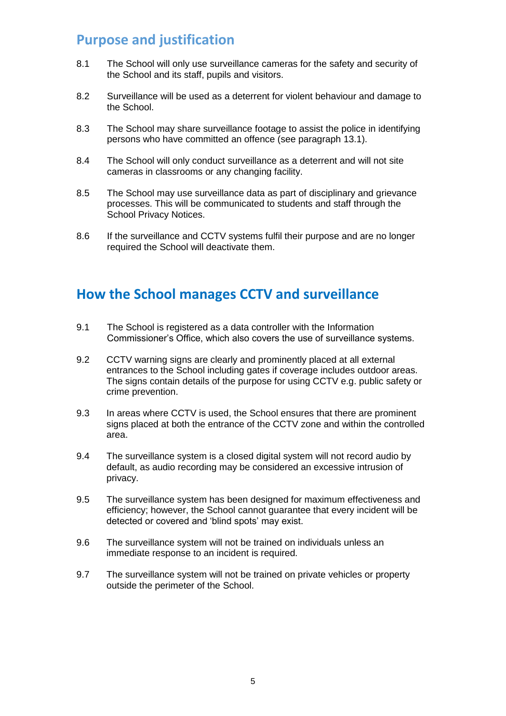## <span id="page-4-0"></span>**Purpose and justification**

- 8.1 The School will only use surveillance cameras for the safety and security of the School and its staff, pupils and visitors.
- 8.2 Surveillance will be used as a deterrent for violent behaviour and damage to the School.
- 8.3 The School may share surveillance footage to assist the police in identifying persons who have committed an offence (see paragraph 13.1).
- 8.4 The School will only conduct surveillance as a deterrent and will not site cameras in classrooms or any changing facility.
- 8.5 The School may use surveillance data as part of disciplinary and grievance processes. This will be communicated to students and staff through the School Privacy Notices.
- 8.6 If the surveillance and CCTV systems fulfil their purpose and are no longer required the School will deactivate them.

# <span id="page-4-1"></span>**How the School manages CCTV and surveillance**

- 9.1 The School is registered as a data controller with the Information Commissioner's Office, which also covers the use of surveillance systems.
- 9.2 CCTV warning signs are clearly and prominently placed at all external entrances to the School including gates if coverage includes outdoor areas. The signs contain details of the purpose for using CCTV e.g. public safety or crime prevention.
- 9.3 In areas where CCTV is used, the School ensures that there are prominent signs placed at both the entrance of the CCTV zone and within the controlled area.
- 9.4 The surveillance system is a closed digital system will not record audio by default, as audio recording may be considered an excessive intrusion of privacy.
- 9.5 The surveillance system has been designed for maximum effectiveness and efficiency; however, the School cannot guarantee that every incident will be detected or covered and 'blind spots' may exist.
- 9.6 The surveillance system will not be trained on individuals unless an immediate response to an incident is required.
- 9.7 The surveillance system will not be trained on private vehicles or property outside the perimeter of the School.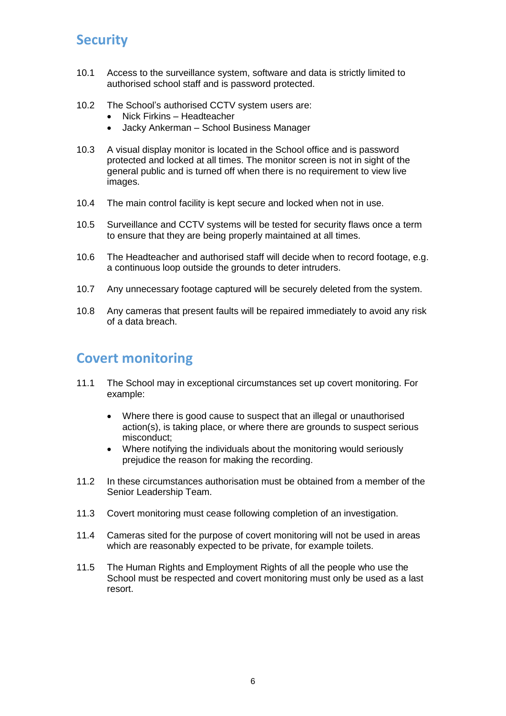# <span id="page-5-0"></span>**Security**

- 10.1 Access to the surveillance system, software and data is strictly limited to authorised school staff and is password protected.
- 10.2 The School's authorised CCTV system users are:
	- Nick Firkins Headteacher
	- Jacky Ankerman School Business Manager
- 10.3 A visual display monitor is located in the School office and is password protected and locked at all times. The monitor screen is not in sight of the general public and is turned off when there is no requirement to view live images.
- 10.4 The main control facility is kept secure and locked when not in use.
- 10.5 Surveillance and CCTV systems will be tested for security flaws once a term to ensure that they are being properly maintained at all times.
- 10.6 The Headteacher and authorised staff will decide when to record footage, e.g. a continuous loop outside the grounds to deter intruders.
- 10.7 Any unnecessary footage captured will be securely deleted from the system.
- 10.8 Any cameras that present faults will be repaired immediately to avoid any risk of a data breach.

#### <span id="page-5-1"></span>**Covert monitoring**

- 11.1 The School may in exceptional circumstances set up covert monitoring. For example:
	- Where there is good cause to suspect that an illegal or unauthorised action(s), is taking place, or where there are grounds to suspect serious misconduct;
	- Where notifying the individuals about the monitoring would seriously prejudice the reason for making the recording.
- 11.2 In these circumstances authorisation must be obtained from a member of the Senior Leadership Team.
- 11.3 Covert monitoring must cease following completion of an investigation.
- 11.4 Cameras sited for the purpose of covert monitoring will not be used in areas which are reasonably expected to be private, for example toilets.
- <span id="page-5-2"></span>11.5 The Human Rights and Employment Rights of all the people who use the School must be respected and covert monitoring must only be used as a last resort.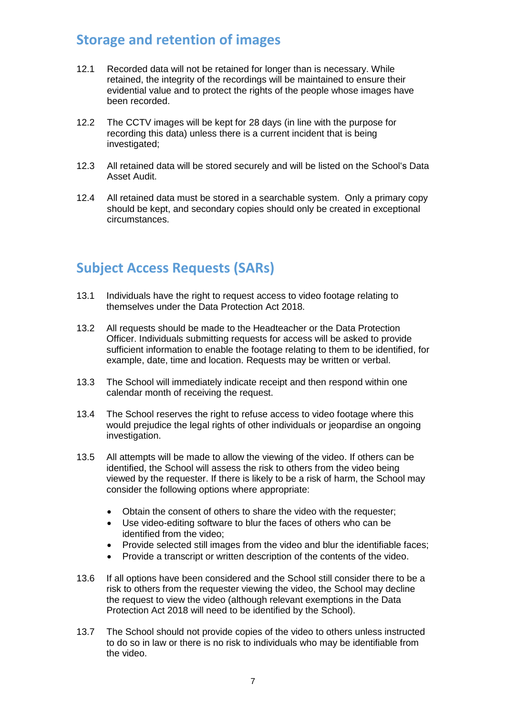#### **Storage and retention of images**

- 12.1 Recorded data will not be retained for longer than is necessary. While retained, the integrity of the recordings will be maintained to ensure their evidential value and to protect the rights of the people whose images have been recorded.
- 12.2 The CCTV images will be kept for 28 days (in line with the purpose for recording this data) unless there is a current incident that is being investigated;
- 12.3 All retained data will be stored securely and will be listed on the School's Data Asset Audit.
- 12.4 All retained data must be stored in a searchable system. Only a primary copy should be kept, and secondary copies should only be created in exceptional circumstances.

# <span id="page-6-0"></span>**Subject Access Requests (SARs)**

- 13.1 Individuals have the right to request access to video footage relating to themselves under the Data Protection Act 2018.
- 13.2 All requests should be made to the Headteacher or the Data Protection Officer. Individuals submitting requests for access will be asked to provide sufficient information to enable the footage relating to them to be identified, for example, date, time and location. Requests may be written or verbal.
- 13.3 The School will immediately indicate receipt and then respond within one calendar month of receiving the request.
- 13.4 The School reserves the right to refuse access to video footage where this would prejudice the legal rights of other individuals or jeopardise an ongoing investigation.
- 13.5 All attempts will be made to allow the viewing of the video. If others can be identified, the School will assess the risk to others from the video being viewed by the requester. If there is likely to be a risk of harm, the School may consider the following options where appropriate:
	- Obtain the consent of others to share the video with the requester;
	- Use video-editing software to blur the faces of others who can be identified from the video;
	- Provide selected still images from the video and blur the identifiable faces;
	- Provide a transcript or written description of the contents of the video.
- 13.6 If all options have been considered and the School still consider there to be a risk to others from the requester viewing the video, the School may decline the request to view the video (although relevant exemptions in the Data Protection Act 2018 will need to be identified by the School).
- 13.7 The School should not provide copies of the video to others unless instructed to do so in law or there is no risk to individuals who may be identifiable from the video.